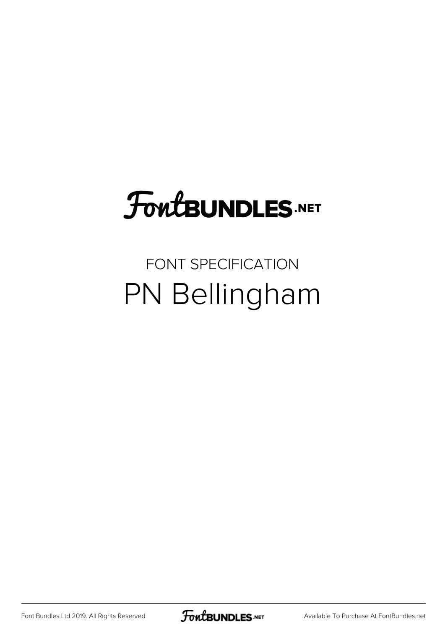## **FoutBUNDLES.NET**

## FONT SPECIFICATION PN Bellingham

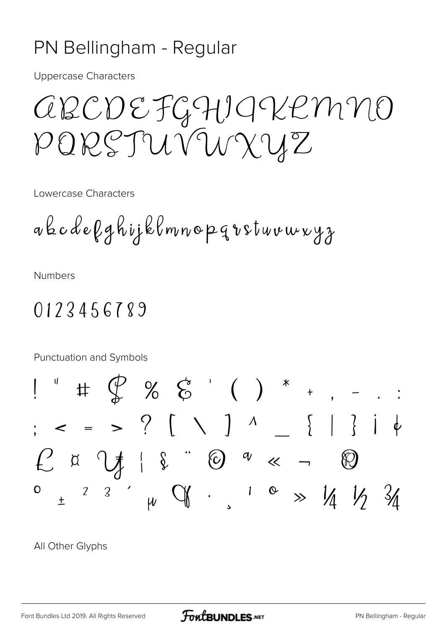## PN Bellingham - Regular

**Uppercase Characters** 

*CECDEFGHIGVEMNO* PORSTUVUXUZ

Lowercase Characters

akcdefghijklmnopqvstuvuxyz

**Numbers** 

## 0123456789

Punctuation and Symbols  $\begin{array}{ccccccccccccc} \text{#} & \mathcal{Q} & \mathcal{Z} & \mathcal{Z} & \mathcal{Z} & \mathcal{Z} & \mathcal{Z} & \mathcal{Z} & \mathcal{Z} & \mathcal{Z} & \mathcal{Z} & \mathcal{Z} & \mathcal{Z} & \mathcal{Z} & \mathcal{Z} & \mathcal{Z} & \mathcal{Z} & \mathcal{Z} & \mathcal{Z} & \mathcal{Z} & \mathcal{Z} & \mathcal{Z} & \mathcal{Z} & \mathcal{Z} & \mathcal{Z} & \mathcal{Z} & \mathcal{Z} & \mathcal{Z} & \mathcal{Z} & \mathcal{Z} & \$  $\frac{1}{2}$  = > ?  $\left[\begin{array}{cc} 1 & 1 \\ 1 & 1 \end{array}\right]$   $\begin{array}{c} 1 & 1 \\ 1 & 1 \end{array}$  $f(x)$   $\downarrow$   $\downarrow$   $\downarrow$   $\downarrow$   $\circ$   $\circ$   $\circ$   $\circ$   $\circ$   $\sim$   $\sim$ 3  $\frac{1}{2}$  of  $\frac{1}{2}$   $\frac{1}{2}$   $\frac{1}{2}$   $\frac{1}{2}$   $\frac{1}{2}$  $\mathbf{O}$  $\mathbf{Z}$ 

All Other Glyphs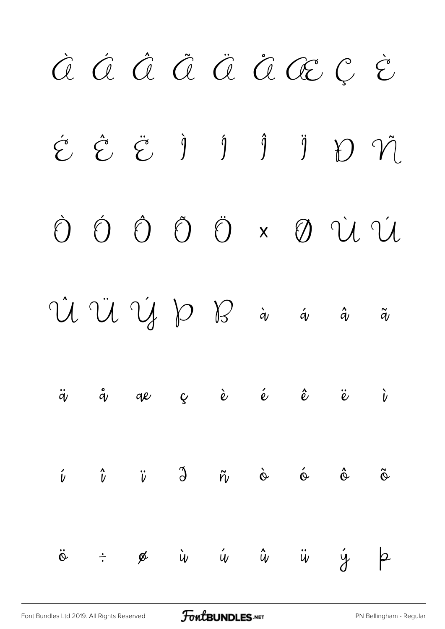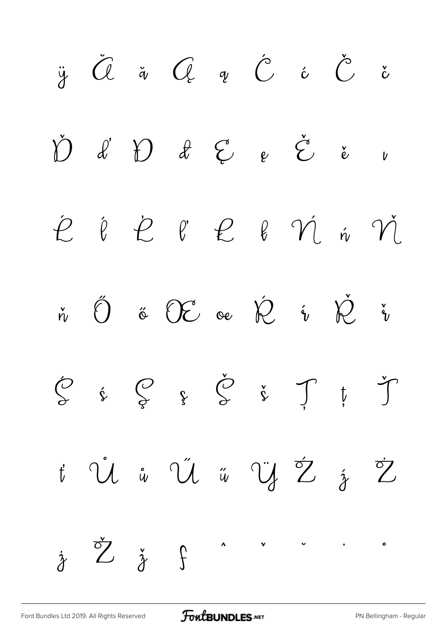